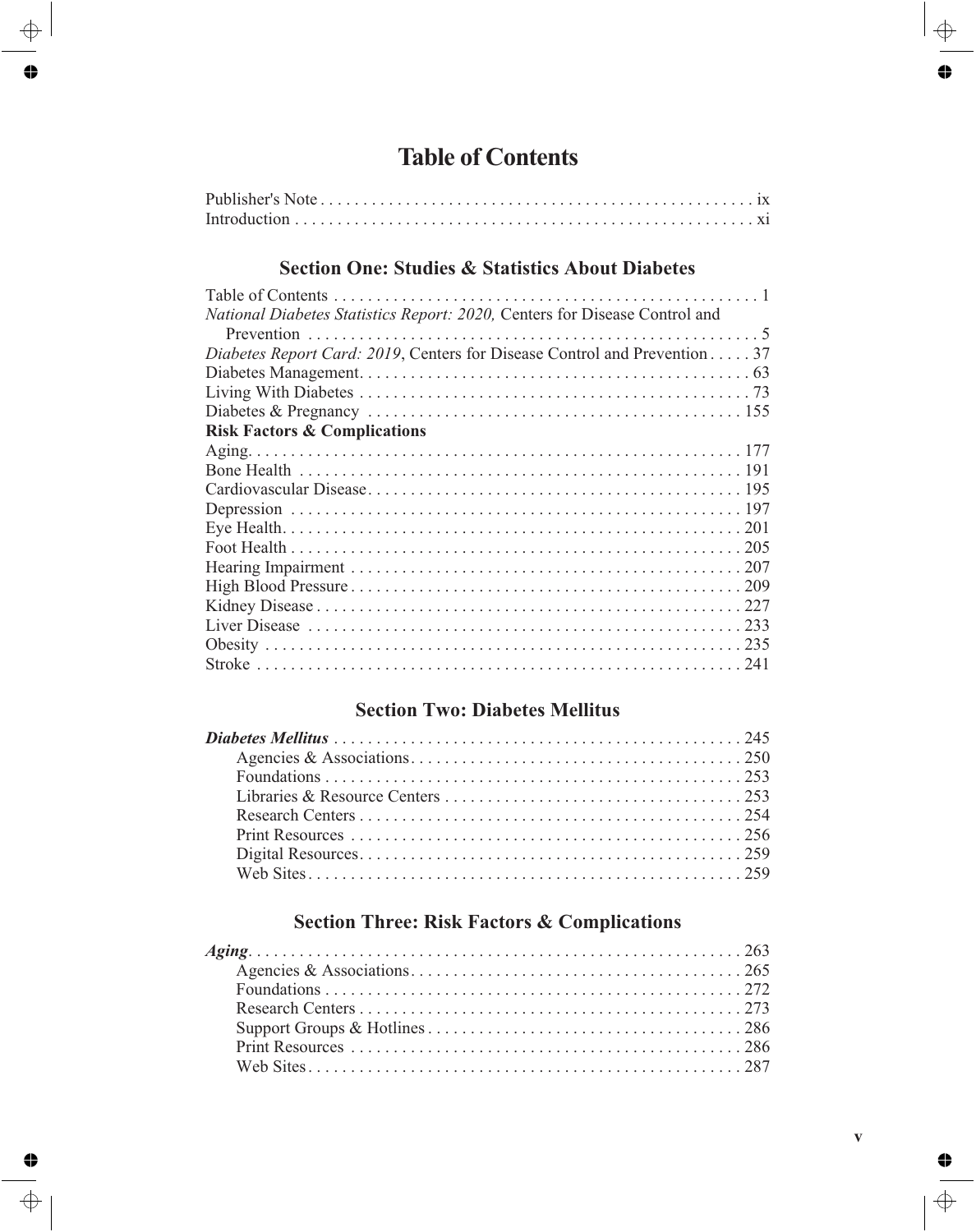# **Table of Contents**

### **Section One: Studies & Statistics About Diabetes**

#### **Section Two: Diabetes Mellitus**

### **Section Three: Risk Factors & Complications**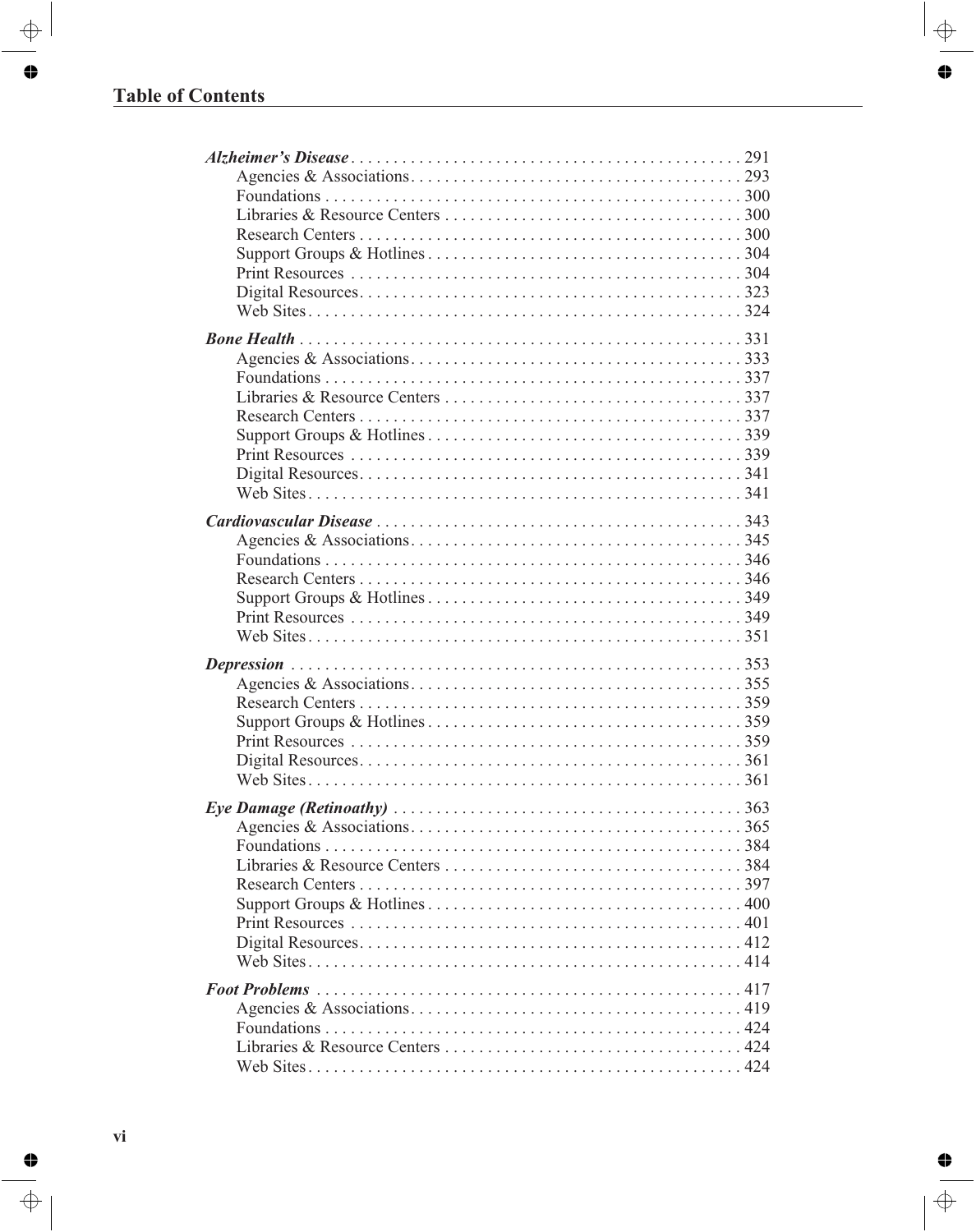| <i>Eye Damage (Retinoathy)</i> $\ldots \ldots \ldots \ldots \ldots \ldots \ldots \ldots \ldots \ldots \ldots \ldots \ldots 363$ |     |
|---------------------------------------------------------------------------------------------------------------------------------|-----|
| Web Sites                                                                                                                       | 424 |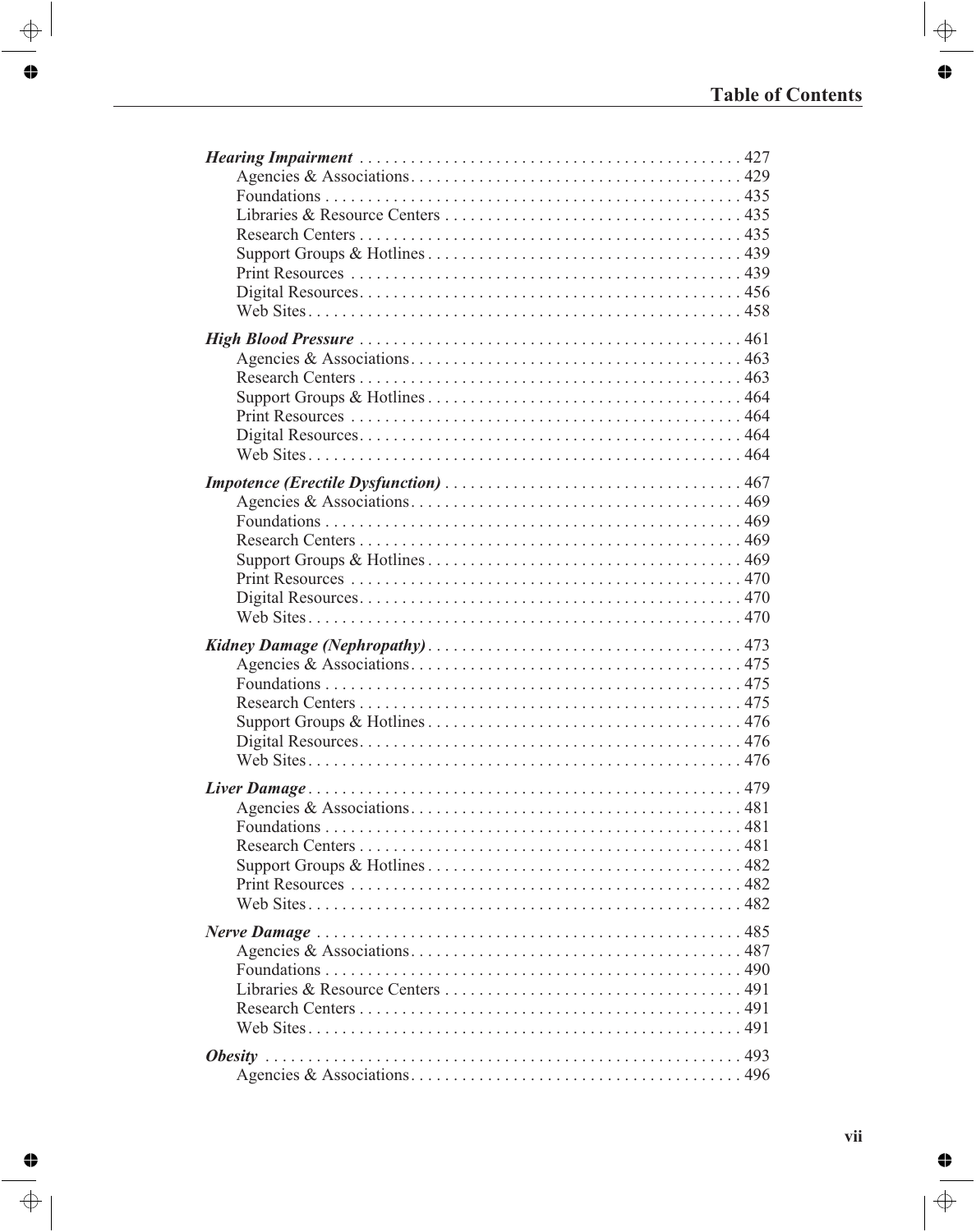| 479 |
|-----|
|     |
|     |
|     |
|     |
|     |
|     |
|     |
|     |
|     |
|     |
|     |
|     |
|     |
|     |
|     |